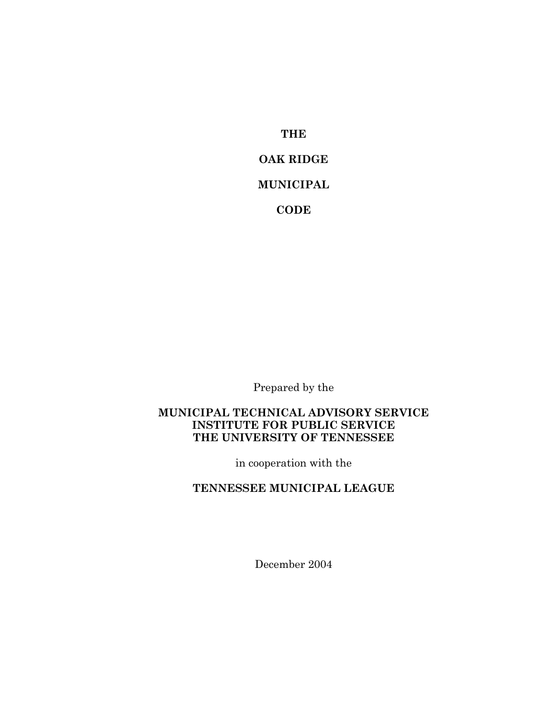**THE OAK RIDGE MUNICIPAL CODE**

Prepared by the

### **MUNICIPAL TECHNICAL ADVISORY SERVICE INSTITUTE FOR PUBLIC SERVICE THE UNIVERSITY OF TENNESSEE**

in cooperation with the

**TENNESSEE MUNICIPAL LEAGUE**

December 2004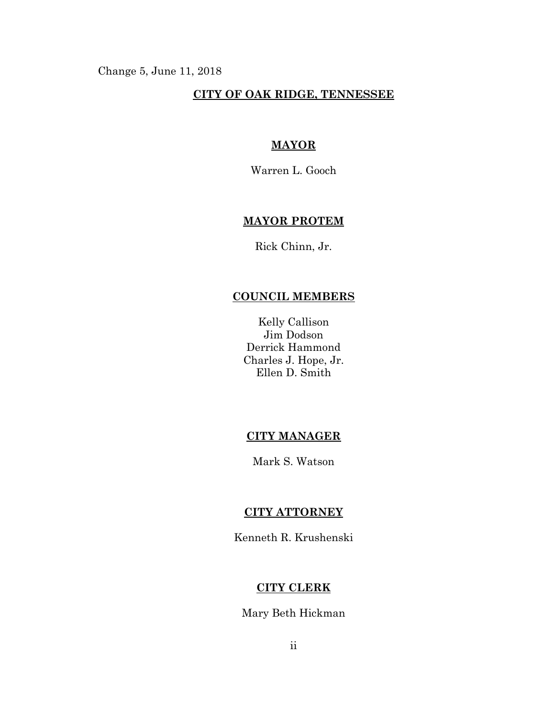Change 5, June 11, 2018

## **CITY OF OAK RIDGE, TENNESSEE**

# **MAYOR**

Warren L. Gooch

## **MAYOR PROTEM**

Rick Chinn, Jr.

# **COUNCIL MEMBERS**

Kelly Callison Jim Dodson Derrick Hammond Charles J. Hope, Jr. Ellen D. Smith

#### **CITY MANAGER**

Mark S. Watson

### **CITY ATTORNEY**

Kenneth R. Krushenski

## **CITY CLERK**

Mary Beth Hickman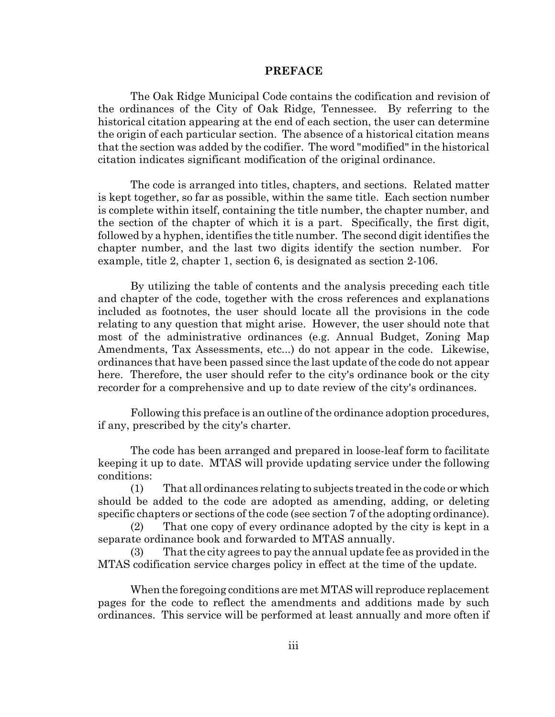#### **PREFACE**

The Oak Ridge Municipal Code contains the codification and revision of the ordinances of the City of Oak Ridge, Tennessee. By referring to the historical citation appearing at the end of each section, the user can determine the origin of each particular section. The absence of a historical citation means that the section was added by the codifier. The word "modified" in the historical citation indicates significant modification of the original ordinance.

The code is arranged into titles, chapters, and sections. Related matter is kept together, so far as possible, within the same title. Each section number is complete within itself, containing the title number, the chapter number, and the section of the chapter of which it is a part. Specifically, the first digit, followed by a hyphen, identifies the title number. The second digit identifies the chapter number, and the last two digits identify the section number. For example, title 2, chapter 1, section 6, is designated as section 2-106.

By utilizing the table of contents and the analysis preceding each title and chapter of the code, together with the cross references and explanations included as footnotes, the user should locate all the provisions in the code relating to any question that might arise. However, the user should note that most of the administrative ordinances (e.g. Annual Budget, Zoning Map Amendments, Tax Assessments, etc...) do not appear in the code. Likewise, ordinances that have been passed since the last update of the code do not appear here. Therefore, the user should refer to the city's ordinance book or the city recorder for a comprehensive and up to date review of the city's ordinances.

Following this preface is an outline of the ordinance adoption procedures, if any, prescribed by the city's charter.

The code has been arranged and prepared in loose-leaf form to facilitate keeping it up to date. MTAS will provide updating service under the following conditions:

(1) That all ordinances relating to subjects treated in the code or which should be added to the code are adopted as amending, adding, or deleting specific chapters or sections of the code (see section 7 of the adopting ordinance).

(2) That one copy of every ordinance adopted by the city is kept in a separate ordinance book and forwarded to MTAS annually.

(3) That the city agrees to pay the annual update fee as provided in the MTAS codification service charges policy in effect at the time of the update.

When the foregoing conditions are met MTAS will reproduce replacement pages for the code to reflect the amendments and additions made by such ordinances. This service will be performed at least annually and more often if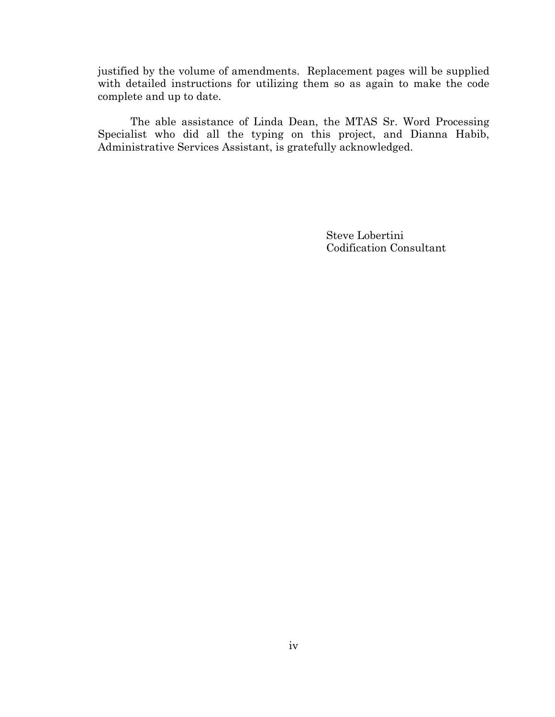justified by the volume of amendments. Replacement pages will be supplied with detailed instructions for utilizing them so as again to make the code complete and up to date.

The able assistance of Linda Dean, the MTAS Sr. Word Processing Specialist who did all the typing on this project, and Dianna Habib, Administrative Services Assistant, is gratefully acknowledged.

> Steve Lobertini Codification Consultant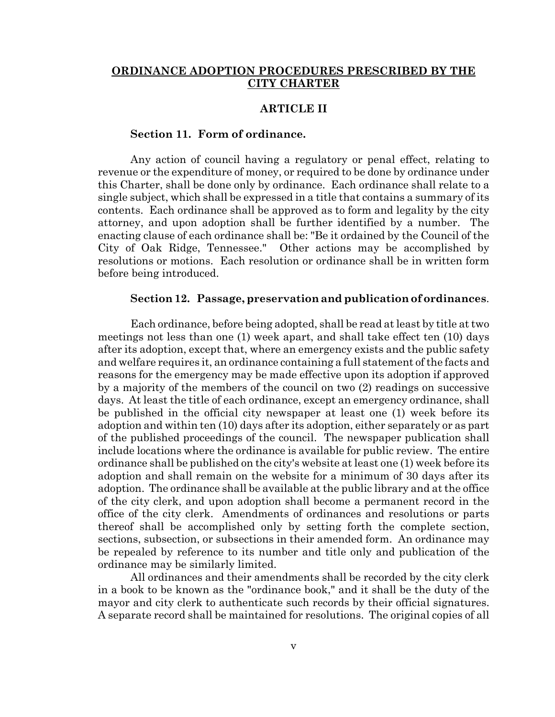#### **ORDINANCE ADOPTION PROCEDURES PRESCRIBED BY THE CITY CHARTER**

#### **ARTICLE II**

#### **Section 11. Form of ordinance.**

Any action of council having a regulatory or penal effect, relating to revenue or the expenditure of money, or required to be done by ordinance under this Charter, shall be done only by ordinance. Each ordinance shall relate to a single subject, which shall be expressed in a title that contains a summary of its contents. Each ordinance shall be approved as to form and legality by the city attorney, and upon adoption shall be further identified by a number. The enacting clause of each ordinance shall be: "Be it ordained by the Council of the City of Oak Ridge, Tennessee." Other actions may be accomplished by resolutions or motions. Each resolution or ordinance shall be in written form before being introduced.

#### **Section 12. Passage, preservation and publication of ordinances**.

Each ordinance, before being adopted, shall be read at least by title at two meetings not less than one (1) week apart, and shall take effect ten (10) days after its adoption, except that, where an emergency exists and the public safety and welfare requires it, an ordinance containing a full statement of the facts and reasons for the emergency may be made effective upon its adoption if approved by a majority of the members of the council on two (2) readings on successive days. At least the title of each ordinance, except an emergency ordinance, shall be published in the official city newspaper at least one (1) week before its adoption and within ten (10) days after its adoption, either separately or as part of the published proceedings of the council. The newspaper publication shall include locations where the ordinance is available for public review. The entire ordinance shall be published on the city's website at least one (1) week before its adoption and shall remain on the website for a minimum of 30 days after its adoption. The ordinance shall be available at the public library and at the office of the city clerk, and upon adoption shall become a permanent record in the office of the city clerk. Amendments of ordinances and resolutions or parts thereof shall be accomplished only by setting forth the complete section, sections, subsection, or subsections in their amended form. An ordinance may be repealed by reference to its number and title only and publication of the ordinance may be similarly limited.

All ordinances and their amendments shall be recorded by the city clerk in a book to be known as the "ordinance book," and it shall be the duty of the mayor and city clerk to authenticate such records by their official signatures. A separate record shall be maintained for resolutions. The original copies of all